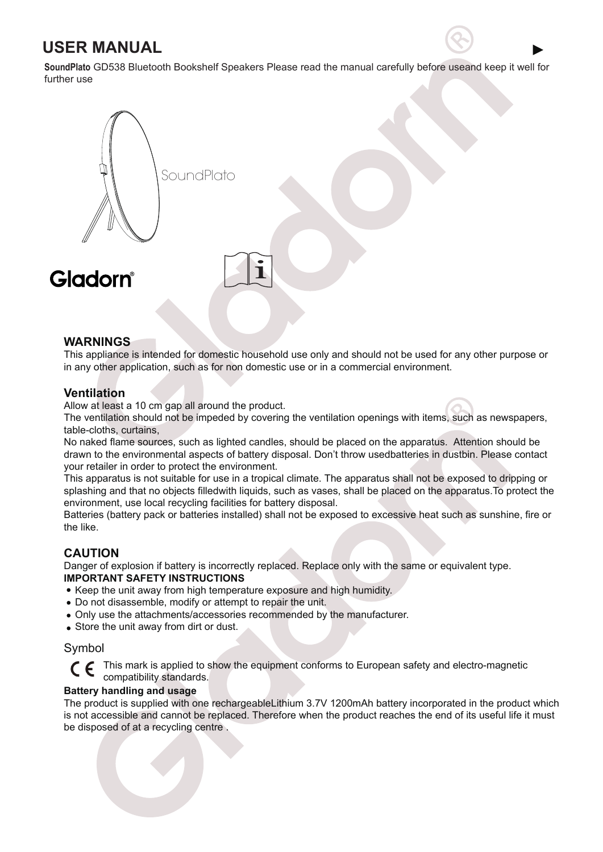# **USER MANUAL**

**SoundPlato** GD538 Bluetooth Bookshelf Speakers Please read the manual carefully before useand keep it well for further use



# **WARNINGS**

This appliance is intended for domestic household use only and should not be used for any other purpose or in any other application, such as for non domestic use or in a commercial environment.

# **Ventilation**

Allow at least a 10 cm gap all around the product.

The ventilation should not be impeded by covering the ventilation openings with items, such as newspapers, table-cloths, curtains,

No naked flame sources, such as lighted candles, should be placed on the apparatus. Attention should be drawn to the environmental aspects of battery disposal. Don't throw usedbatteries in dustbin. Please contact your retailer in order to protect the environment.

This apparatus is not suitable for use in a tropical climate. The apparatus shall not be exposed to dripping or splashing and that no objects filledwith liquids, such as vases, shall be placed on the apparatus.To protect the environment, use local recycling facilities for battery disposal.

Batteries (battery pack or batteries installed) shall not be exposed to excessive heat such as sunshine, fire or the like.

# **CAUTION**

Danger of explosion if battery is incorrectly replaced. Replace only with the same or equivalent type. **IMPORTANT SAFETY INSTRUCTIONS**

- Keep the unit away from high temperature exposure and high humidity.
- Do not disassemble, modify or attempt to repair the unit.
- Only use the attachments/accessories recommended by the manufacturer.
- Store the unit away from dirt or dust.

# Symbol

This mark is applied to show the equipment conforms to European safety and electro-magnetic compatibility standards.

#### **Battery handling and usage**

The product is supplied with one rechargeableLithium 3.7V 1200mAh battery incorporated in the product which is not accessible and cannot be replaced. Therefore when the product reaches the end of its useful life it must be disposed of at a recycling centre .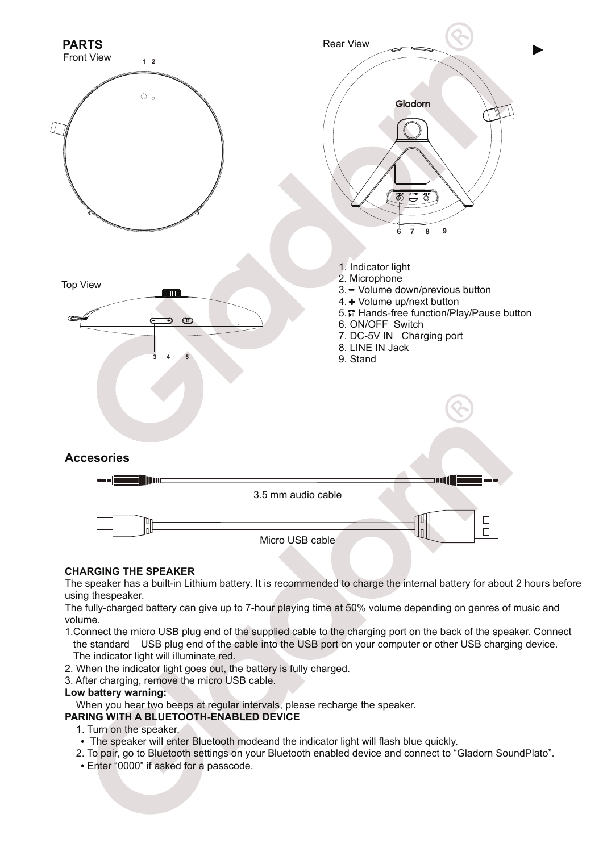

# **CHARGING THE SPEAKER**

The speaker has a built-in Lithium battery. It is recommended to charge the internal battery for about 2 hours before using thespeaker.

The fully-charged battery can give up to 7-hour playing time at 50% volume depending on genres of music and volume.

- 1.Connect the micro USB plug end of the supplied cable to the charging port on the back of the speaker. Connect the standard USB plug end of the cable into the USB port on your computer or other USB charging device. The indicator light will illuminate red.
- 2. When the indicator light goes out, the battery is fully charged.
- 3. After charging, remove the micro USB cable.

#### **Low battery warning:**

When you hear two beeps at regular intervals, please recharge the speaker.

#### **PARING WITH A BLUETOOTH-ENABLED DEVICE**

- 1. Turn on the speaker.
- The speaker will enter Bluetooth modeand the indicator light will flash blue quickly.
- 2. To pair, go to Bluetooth settings on your Bluetooth enabled device and connect to "Gladorn SoundPlato".
- Enter "0000" if asked for a passcode.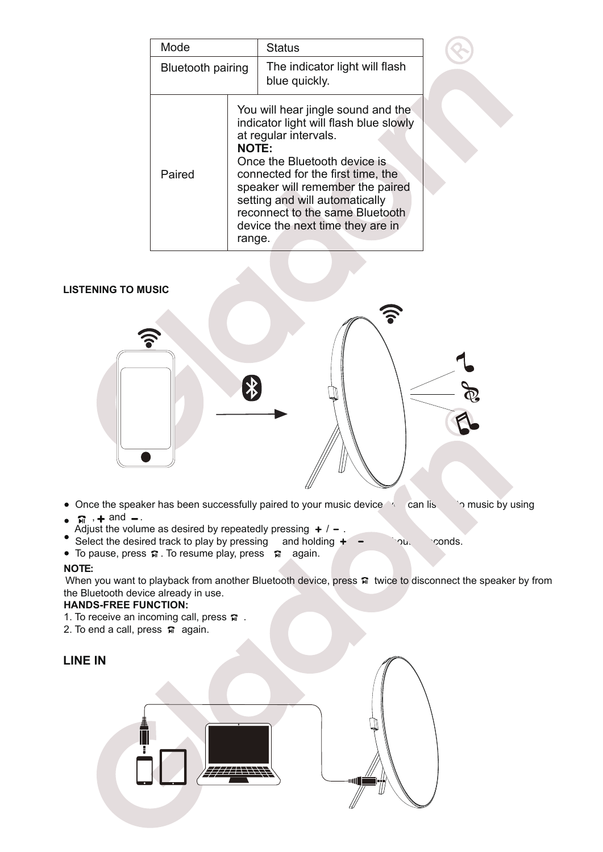| Mode                     |                                                                                                                                                                                                                                                                                                                                                   | <b>Status</b>                                   |
|--------------------------|---------------------------------------------------------------------------------------------------------------------------------------------------------------------------------------------------------------------------------------------------------------------------------------------------------------------------------------------------|-------------------------------------------------|
| <b>Bluetooth pairing</b> |                                                                                                                                                                                                                                                                                                                                                   | The indicator light will flash<br>blue quickly. |
| Paired                   | You will hear jingle sound and the<br>indicator light will flash blue slowly<br>at regular intervals.<br><b>NOTE:</b><br>Once the Bluetooth device is<br>connected for the first time, the<br>speaker will remember the paired<br>setting and will automatically<br>reconnect to the same Bluetooth<br>device the next time they are in<br>range. |                                                 |

# **LISTENING TO MUSIC**



- Once the speaker has been successfully paired to your music device, you can listen to music by using
- $\bullet$   $\pi$  ,  $\bullet$  and  $\bullet$ .
- Adjust the volume as desired by repeatedly pressing  $+ / -$ .
- Select the desired track to play by pressing and holding  $+ \infty$  out 2 seconds.
- To pause, press  $\pi$ . To resume play, press  $\pi$  again.

# **NOTE:**

When you want to playback from another Bluetooth device, press n twice to disconnect the speaker by from the Bluetooth device already in use.

#### **HANDS-FREE FUNCTION:**

- 1. To receive an incoming call, press  $\widehat{\mathbf{m}}$ .
- 2. To end a call, press  $\vec{n}$  again.

# **LINE IN**